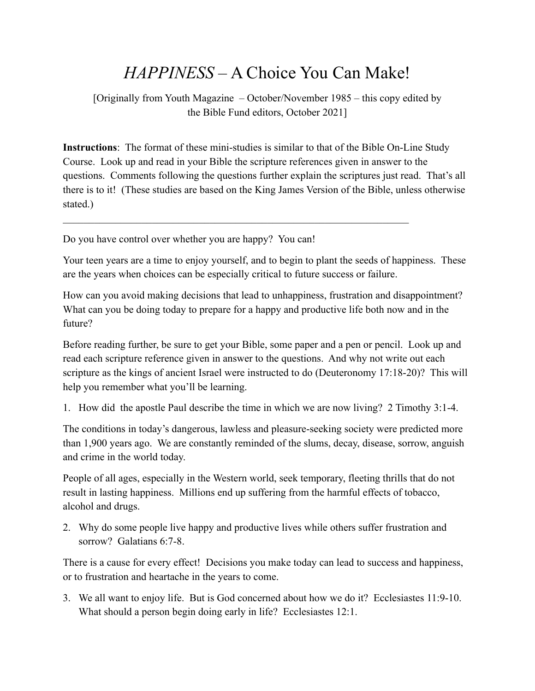## *HAPPINESS* – A Choice You Can Make!

[Originally from Youth Magazine – October/November 1985 – this copy edited by the Bible Fund editors, October 2021]

**Instructions**: The format of these mini-studies is similar to that of the Bible On-Line Study Course. Look up and read in your Bible the scripture references given in answer to the questions. Comments following the questions further explain the scriptures just read. That's all there is to it! (These studies are based on the King James Version of the Bible, unless otherwise stated.)

 $\mathcal{L}_\mathcal{L} = \mathcal{L}_\mathcal{L} = \mathcal{L}_\mathcal{L} = \mathcal{L}_\mathcal{L} = \mathcal{L}_\mathcal{L} = \mathcal{L}_\mathcal{L} = \mathcal{L}_\mathcal{L} = \mathcal{L}_\mathcal{L} = \mathcal{L}_\mathcal{L} = \mathcal{L}_\mathcal{L} = \mathcal{L}_\mathcal{L} = \mathcal{L}_\mathcal{L} = \mathcal{L}_\mathcal{L} = \mathcal{L}_\mathcal{L} = \mathcal{L}_\mathcal{L} = \mathcal{L}_\mathcal{L} = \mathcal{L}_\mathcal{L}$ 

Do you have control over whether you are happy? You can!

Your teen years are a time to enjoy yourself, and to begin to plant the seeds of happiness. These are the years when choices can be especially critical to future success or failure.

How can you avoid making decisions that lead to unhappiness, frustration and disappointment? What can you be doing today to prepare for a happy and productive life both now and in the future?

Before reading further, be sure to get your Bible, some paper and a pen or pencil. Look up and read each scripture reference given in answer to the questions. And why not write out each scripture as the kings of ancient Israel were instructed to do (Deuteronomy 17:18-20)? This will help you remember what you'll be learning.

1. How did the apostle Paul describe the time in which we are now living? 2 Timothy 3:1-4.

The conditions in today's dangerous, lawless and pleasure-seeking society were predicted more than 1,900 years ago. We are constantly reminded of the slums, decay, disease, sorrow, anguish and crime in the world today.

People of all ages, especially in the Western world, seek temporary, fleeting thrills that do not result in lasting happiness. Millions end up suffering from the harmful effects of tobacco, alcohol and drugs.

2. Why do some people live happy and productive lives while others suffer frustration and sorrow? Galatians 6:7-8.

There is a cause for every effect! Decisions you make today can lead to success and happiness, or to frustration and heartache in the years to come.

3. We all want to enjoy life. But is God concerned about how we do it? Ecclesiastes 11:9-10. What should a person begin doing early in life? Ecclesiastes 12:1.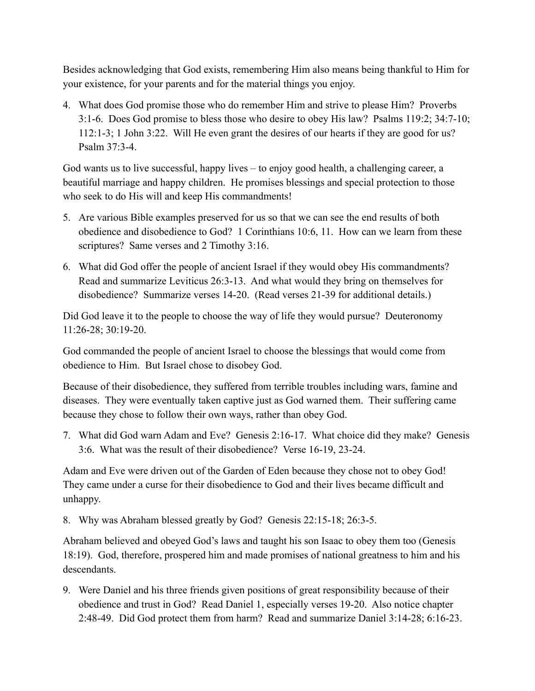Besides acknowledging that God exists, remembering Him also means being thankful to Him for your existence, for your parents and for the material things you enjoy.

4. What does God promise those who do remember Him and strive to please Him? Proverbs 3:1-6. Does God promise to bless those who desire to obey His law? Psalms 119:2; 34:7-10; 112:1-3; 1 John 3:22. Will He even grant the desires of our hearts if they are good for us? Psalm 37:3-4.

God wants us to live successful, happy lives – to enjoy good health, a challenging career, a beautiful marriage and happy children. He promises blessings and special protection to those who seek to do His will and keep His commandments!

- 5. Are various Bible examples preserved for us so that we can see the end results of both obedience and disobedience to God? 1 Corinthians 10:6, 11. How can we learn from these scriptures? Same verses and 2 Timothy 3:16.
- 6. What did God offer the people of ancient Israel if they would obey His commandments? Read and summarize Leviticus 26:3-13. And what would they bring on themselves for disobedience? Summarize verses 14-20. (Read verses 21-39 for additional details.)

Did God leave it to the people to choose the way of life they would pursue? Deuteronomy 11:26-28; 30:19-20.

God commanded the people of ancient Israel to choose the blessings that would come from obedience to Him. But Israel chose to disobey God.

Because of their disobedience, they suffered from terrible troubles including wars, famine and diseases. They were eventually taken captive just as God warned them. Their suffering came because they chose to follow their own ways, rather than obey God.

7. What did God warn Adam and Eve? Genesis 2:16-17. What choice did they make? Genesis 3:6. What was the result of their disobedience? Verse 16-19, 23-24.

Adam and Eve were driven out of the Garden of Eden because they chose not to obey God! They came under a curse for their disobedience to God and their lives became difficult and unhappy.

8. Why was Abraham blessed greatly by God? Genesis 22:15-18; 26:3-5.

Abraham believed and obeyed God's laws and taught his son Isaac to obey them too (Genesis 18:19). God, therefore, prospered him and made promises of national greatness to him and his descendants.

9. Were Daniel and his three friends given positions of great responsibility because of their obedience and trust in God? Read Daniel 1, especially verses 19-20. Also notice chapter 2:48-49. Did God protect them from harm? Read and summarize Daniel 3:14-28; 6:16-23.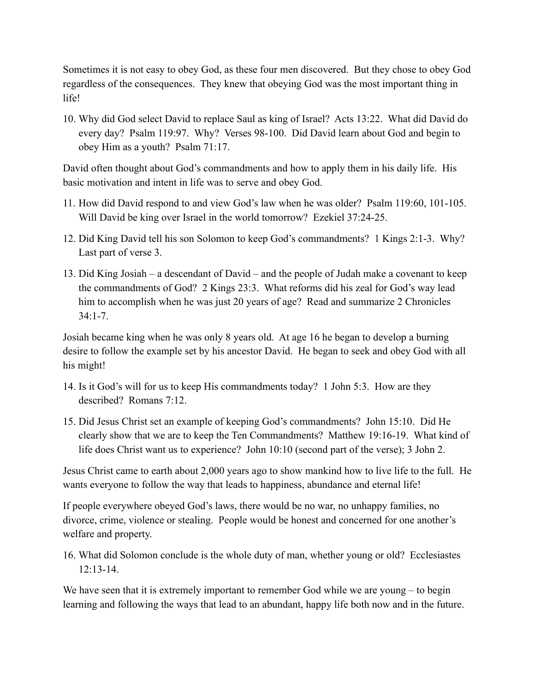Sometimes it is not easy to obey God, as these four men discovered. But they chose to obey God regardless of the consequences. They knew that obeying God was the most important thing in life!

10. Why did God select David to replace Saul as king of Israel? Acts 13:22. What did David do every day? Psalm 119:97. Why? Verses 98-100. Did David learn about God and begin to obey Him as a youth? Psalm 71:17.

David often thought about God's commandments and how to apply them in his daily life. His basic motivation and intent in life was to serve and obey God.

- 11. How did David respond to and view God's law when he was older? Psalm 119:60, 101-105. Will David be king over Israel in the world tomorrow? Ezekiel 37:24-25.
- 12. Did King David tell his son Solomon to keep God's commandments? 1 Kings 2:1-3. Why? Last part of verse 3.
- 13. Did King Josiah a descendant of David and the people of Judah make a covenant to keep the commandments of God? 2 Kings 23:3. What reforms did his zeal for God's way lead him to accomplish when he was just 20 years of age? Read and summarize 2 Chronicles  $34.1 - 7$

Josiah became king when he was only 8 years old. At age 16 he began to develop a burning desire to follow the example set by his ancestor David. He began to seek and obey God with all his might!

- 14. Is it God's will for us to keep His commandments today? 1 John 5:3. How are they described? Romans 7:12.
- 15. Did Jesus Christ set an example of keeping God's commandments? John 15:10. Did He clearly show that we are to keep the Ten Commandments? Matthew 19:16-19. What kind of life does Christ want us to experience? John 10:10 (second part of the verse); 3 John 2.

Jesus Christ came to earth about 2,000 years ago to show mankind how to live life to the full. He wants everyone to follow the way that leads to happiness, abundance and eternal life!

If people everywhere obeyed God's laws, there would be no war, no unhappy families, no divorce, crime, violence or stealing. People would be honest and concerned for one another's welfare and property.

16. What did Solomon conclude is the whole duty of man, whether young or old? Ecclesiastes  $12 \cdot 13 - 14$ 

We have seen that it is extremely important to remember God while we are young – to begin learning and following the ways that lead to an abundant, happy life both now and in the future.